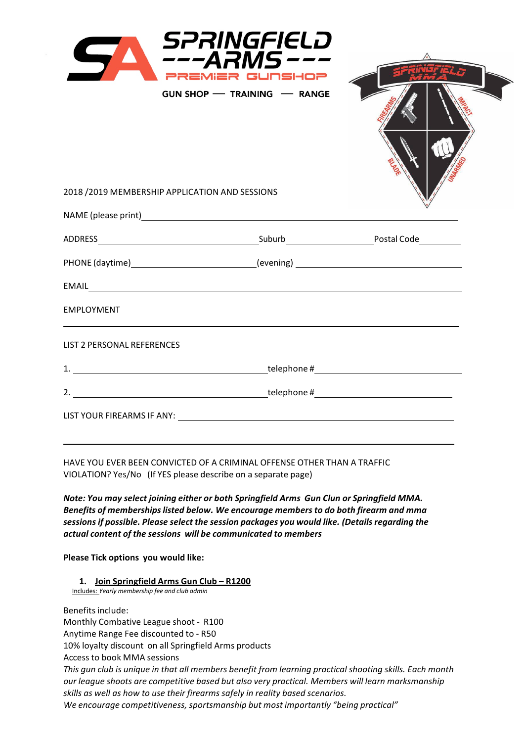|                                                                                  | SPRINGFIELD<br>$- - A$ RMS $-$<br>PREMIER GUNSHOP<br>GUN SHOP - TRAINING - RANGE |  |
|----------------------------------------------------------------------------------|----------------------------------------------------------------------------------|--|
| 2018 / 2019 MEMBERSHIP APPLICATION AND SESSIONS                                  |                                                                                  |  |
|                                                                                  |                                                                                  |  |
|                                                                                  |                                                                                  |  |
| PHONE (daytime)____________________________(evening) ___________________________ |                                                                                  |  |
|                                                                                  |                                                                                  |  |
| EMPLOYMENT                                                                       |                                                                                  |  |
| LIST 2 PERSONAL REFERENCES                                                       |                                                                                  |  |
|                                                                                  |                                                                                  |  |
|                                                                                  |                                                                                  |  |
|                                                                                  |                                                                                  |  |

HAVE YOU EVER BEEN CONVICTED OF A CRIMINAL OFFENSE OTHER THAN A TRAFFIC VIOLATION? Yes/No (If YES please describe on a separate page)

*Note: You may select joining either or both Springfield Arms Gun Clun or Springfield MMA. Benefits of membershipslisted below. We encourage members to do both firearm and mma sessions if possible. Please select the session packages you would like. (Details regarding the actual content of the sessions will be communicated to members*

**Please Tick options you would like:**

**1. Join Springfield Arms Gun Club – R1200**

Includes: *Yearly membership fee and club admin*

Benefits include: Monthly Combative League shoot - R100 Anytime Range Fee discounted to - R50 10% loyalty discount on all Springfield Arms products Access to book MMA sessions *This gun club is unique in that all members benefit from learning practical shooting skills. Each month our league shoots are competitive based but also very practical. Members will learn marksmanship skills as well as how to use their firearms safely in reality based scenarios. We encourage competitiveness,sportsmanship but most importantly "being practical"*